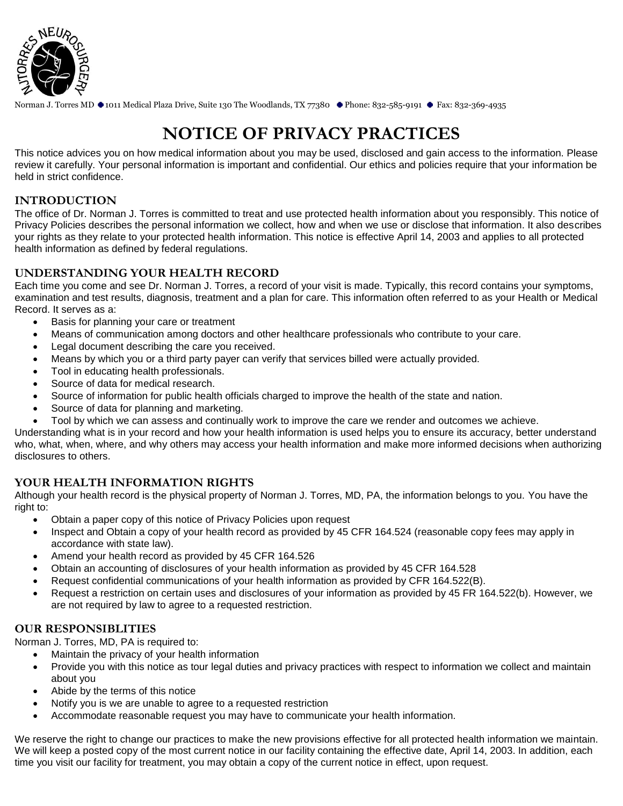

Norman J. Torres MD  $\bullet$  1011 Medical Plaza Drive, Suite 130 The Woodlands, TX 77380  $\bullet$  Phone: 832-585-9191  $\bullet$  Fax: 832-369-4935

# **NOTICE OF PRIVACY PRACTICES**

This notice advices you on how medical information about you may be used, disclosed and gain access to the information. Please review it carefully. Your personal information is important and confidential. Our ethics and policies require that your information be held in strict confidence.

## **INTRODUCTION**

The office of Dr. Norman J. Torres is committed to treat and use protected health information about you responsibly. This notice of Privacy Policies describes the personal information we collect, how and when we use or disclose that information. It also describes your rights as they relate to your protected health information. This notice is effective April 14, 2003 and applies to all protected health information as defined by federal regulations.

# **UNDERSTANDING YOUR HEALTH RECORD**

Each time you come and see Dr. Norman J. Torres, a record of your visit is made. Typically, this record contains your symptoms, examination and test results, diagnosis, treatment and a plan for care. This information often referred to as your Health or Medical Record. It serves as a:

- Basis for planning your care or treatment
- Means of communication among doctors and other healthcare professionals who contribute to your care.
- Legal document describing the care you received.
- Means by which you or a third party payer can verify that services billed were actually provided.
- Tool in educating health professionals.
- Source of data for medical research.
- Source of information for public health officials charged to improve the health of the state and nation.
- Source of data for planning and marketing.
- Tool by which we can assess and continually work to improve the care we render and outcomes we achieve.

Understanding what is in your record and how your health information is used helps you to ensure its accuracy, better understand who, what, when, where, and why others may access your health information and make more informed decisions when authorizing disclosures to others.

# **YOUR HEALTH INFORMATION RIGHTS**

Although your health record is the physical property of Norman J. Torres, MD, PA, the information belongs to you. You have the right to:

- Obtain a paper copy of this notice of Privacy Policies upon request
- Inspect and Obtain a copy of your health record as provided by 45 CFR 164.524 (reasonable copy fees may apply in accordance with state law).
- Amend your health record as provided by 45 CFR 164.526
- Obtain an accounting of disclosures of your health information as provided by 45 CFR 164.528
- Request confidential communications of your health information as provided by CFR 164.522(B).
- Request a restriction on certain uses and disclosures of your information as provided by 45 FR 164.522(b). However, we are not required by law to agree to a requested restriction.

## **OUR RESPONSIBLITIES**

Norman J. Torres, MD, PA is required to:

- Maintain the privacy of your health information
- Provide you with this notice as tour legal duties and privacy practices with respect to information we collect and maintain about you
- Abide by the terms of this notice
- Notify you is we are unable to agree to a requested restriction
- Accommodate reasonable request you may have to communicate your health information.

We reserve the right to change our practices to make the new provisions effective for all protected health information we maintain. We will keep a posted copy of the most current notice in our facility containing the effective date, April 14, 2003. In addition, each time you visit our facility for treatment, you may obtain a copy of the current notice in effect, upon request.